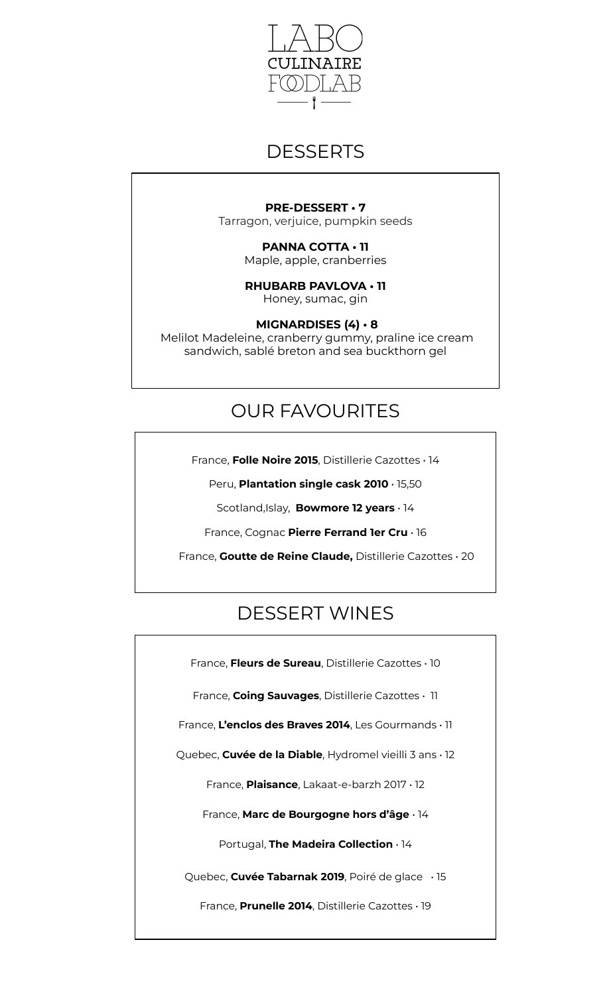

### **DESSERTS**

#### **PRE-DESSERT • 7**

Tarragon, verjuice, pumpkin seeds

**PANNA COTTA • 11**  Maple, apple, cranberries

**RHUBARB PAVLOVA • 11**  Honey, sumac, gin

**MIGNARDISES (4) • 8** Melilot Madeleine, cranberry gummy, praline ice cream sandwich, sablé breton and sea buckthorn gel

## OUR FAVOURITES

France, **Folle Noire 2015**, Distillerie Cazottes • 14

Peru, **Plantation single cask 2010** • 15,50

Scotland,Islay, **Bowmore 12 years** • 14

France, Cognac **Pierre Ferrand 1er Cru** • 16

France, **Goutte de Reine Claude,** Distillerie Cazottes • 20

# DESSERT WINES

France, **Fleurs de Sureau**, Distillerie Cazottes • 10

France, **Coing Sauvages**, Distillerie Cazottes • 11

France, **L'enclos des Braves 2014**, Les Gourmands • 11

Quebec, **Cuvée de la Diable**, Hydromel vieilli 3 ans • 12

France, **Plaisance**, Lakaat-e-barzh 2017 • 12

France, **Marc de Bourgogne hors d'âge** • 14

Portugal, **The Madeira Collection** • 14

Quebec, **Cuvée Tabarnak 2019**, Poiré de glace• 15

France, **Prunelle 2014**, Distillerie Cazottes • 19